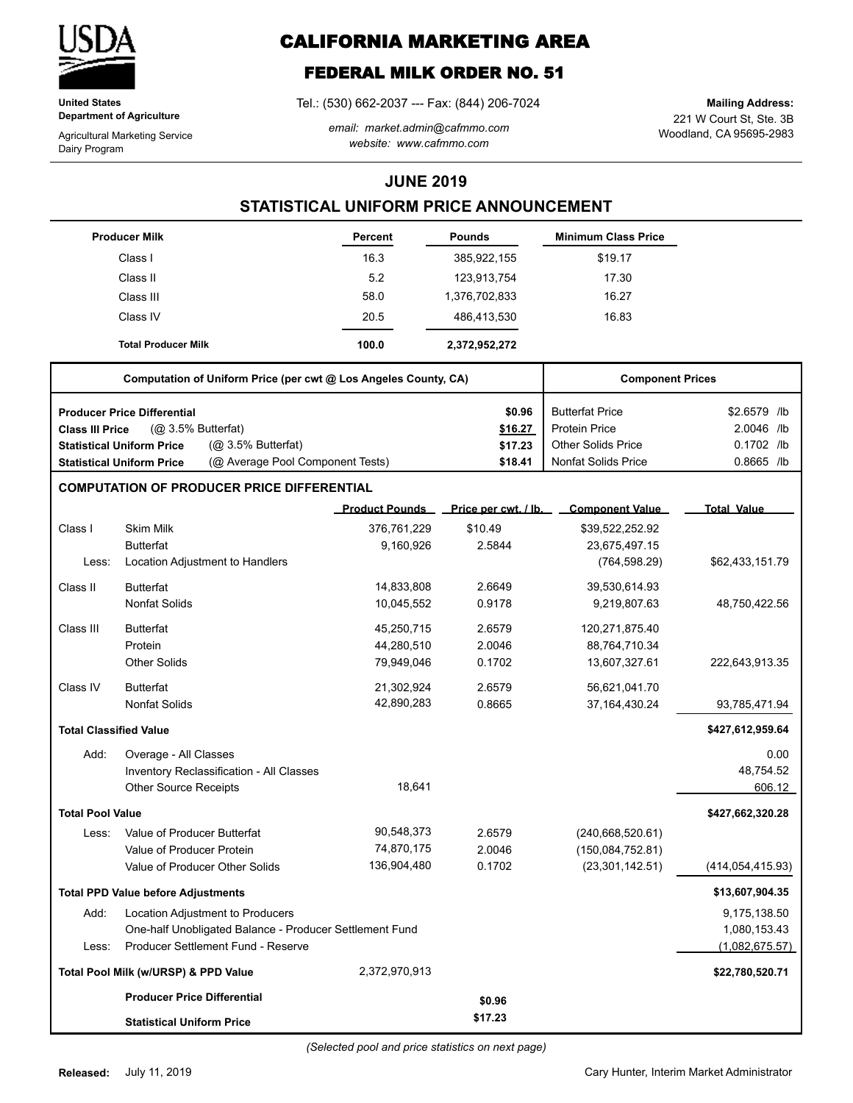

**United States Department of Agriculture**

Agricultural Marketing Service Dairy Program

# **CALIFORNIA MARKETING AREA**

# **FEDERAL MILK ORDER NO. 51**

Tel.: (530) 662-2037 --- Fax: (844) 206-7024

*email: market.admin@cafmmo.com website: www.cafmmo.com*

221 W Court St, Ste. 3B Woodland, CA 95695-2983 **Mailing Address:**

### **JUNE 2019**

## **STATISTICAL UNIFORM PRICE ANNOUNCEMENT**

|                               | <b>Producer Milk</b>                                                 | <b>Percent</b>        | <b>Pounds</b>        | <b>Minimum Class Price</b> |                    |  |
|-------------------------------|----------------------------------------------------------------------|-----------------------|----------------------|----------------------------|--------------------|--|
|                               | Class I                                                              | 16.3                  | 385,922,155          | \$19.17                    |                    |  |
|                               | Class II                                                             | 5.2                   | 123,913,754          | 17.30                      |                    |  |
|                               | Class III                                                            | 58.0                  | 1,376,702,833        | 16.27                      |                    |  |
|                               | Class IV                                                             | 20.5                  | 486,413,530          | 16.83                      |                    |  |
|                               | <b>Total Producer Milk</b>                                           | 100.0                 | 2,372,952,272        |                            |                    |  |
|                               | Computation of Uniform Price (per cwt @ Los Angeles County, CA)      |                       |                      | <b>Component Prices</b>    |                    |  |
|                               | <b>Producer Price Differential</b>                                   |                       | \$0.96               | <b>Butterfat Price</b>     | \$2.6579 /lb       |  |
| Class III Price               | (Q <sub>2</sub> 3.5% Butterfat)                                      |                       | \$16.27              | <b>Protein Price</b>       | 2.0046 /lb         |  |
|                               | (@ 3.5% Butterfat)<br><b>Statistical Uniform Price</b>               |                       | \$17.23              | <b>Other Solids Price</b>  | 0.1702 /lb         |  |
|                               | (@ Average Pool Component Tests)<br><b>Statistical Uniform Price</b> |                       | \$18.41              | <b>Nonfat Solids Price</b> | 0.8665 /lb         |  |
|                               | <b>COMPUTATION OF PRODUCER PRICE DIFFERENTIAL</b>                    |                       |                      |                            |                    |  |
|                               |                                                                      | <b>Product Pounds</b> | Price per cwt. / lb. | <b>Component Value</b>     | <b>Total Value</b> |  |
| Class I                       | <b>Skim Milk</b>                                                     | 376,761,229           | \$10.49              | \$39,522,252.92            |                    |  |
|                               | <b>Butterfat</b>                                                     | 9,160,926             | 2.5844               | 23,675,497.15              |                    |  |
| Less:                         | Location Adjustment to Handlers                                      |                       |                      | (764, 598.29)              | \$62,433,151.79    |  |
| Class II                      | <b>Butterfat</b>                                                     | 14,833,808            | 2.6649               | 39,530,614.93              |                    |  |
|                               | <b>Nonfat Solids</b>                                                 | 10,045,552            | 0.9178               | 9,219,807.63               | 48,750,422.56      |  |
| Class III                     | <b>Butterfat</b>                                                     | 45,250,715            | 2.6579               | 120,271,875.40             |                    |  |
|                               | Protein                                                              | 44,280,510            | 2.0046               | 88,764,710.34              |                    |  |
|                               | <b>Other Solids</b>                                                  | 79,949,046            | 0.1702               | 13,607,327.61              | 222,643,913.35     |  |
| Class IV                      | <b>Butterfat</b>                                                     | 21,302,924            | 2.6579               | 56,621,041.70              |                    |  |
|                               | <b>Nonfat Solids</b>                                                 | 42,890,283            | 0.8665               | 37, 164, 430. 24           | 93,785,471.94      |  |
| <b>Total Classified Value</b> |                                                                      |                       |                      |                            | \$427,612,959.64   |  |
| Add:                          | Overage - All Classes                                                |                       |                      |                            | 0.00               |  |
|                               | Inventory Reclassification - All Classes                             |                       |                      |                            | 48,754.52          |  |
|                               | <b>Other Source Receipts</b>                                         | 18,641                |                      |                            | 606.12             |  |
| <b>Total Pool Value</b>       |                                                                      |                       |                      |                            | \$427,662,320.28   |  |
| Less:                         | Value of Producer Butterfat                                          | 90,548,373            | 2.6579               | (240,668,520.61)           |                    |  |
|                               | Value of Producer Protein                                            | 74,870,175            | 2.0046               | (150,084,752.81)           |                    |  |
|                               | Value of Producer Other Solids                                       | 136,904,480           | 0.1702               | (23, 301, 142.51)          | (414, 054, 415.93) |  |
|                               | <b>Total PPD Value before Adjustments</b>                            |                       |                      |                            | \$13,607,904.35    |  |
| Add:                          | Location Adjustment to Producers                                     |                       |                      |                            | 9,175,138.50       |  |
|                               | One-half Unobligated Balance - Producer Settlement Fund              |                       |                      |                            | 1,080,153.43       |  |
| Less:                         | Producer Settlement Fund - Reserve                                   |                       |                      |                            | (1,082,675.57)     |  |
|                               | Total Pool Milk (w/URSP) & PPD Value                                 | 2,372,970,913         |                      |                            | \$22,780,520.71    |  |
|                               | <b>Producer Price Differential</b>                                   |                       | \$0.96               |                            |                    |  |
|                               | <b>Statistical Uniform Price</b>                                     |                       | \$17.23              |                            |                    |  |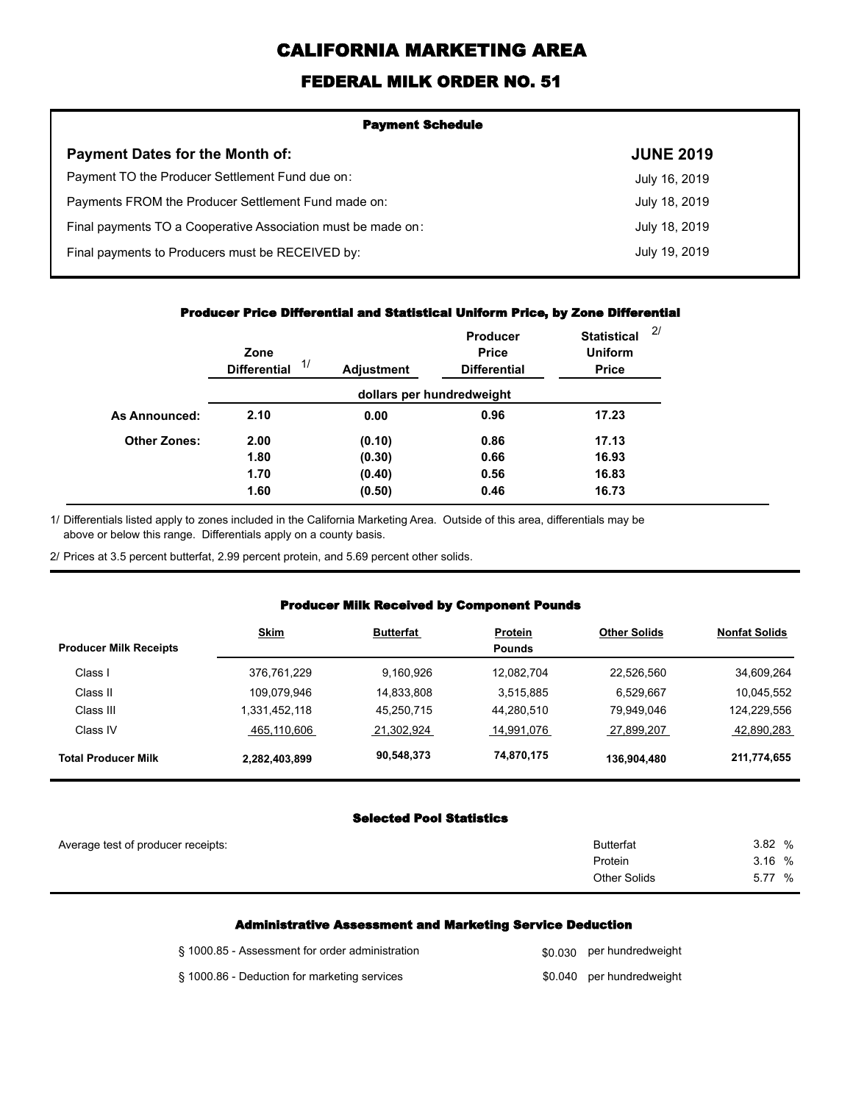# **CALIFORNIA MARKETING AREA**

## **FEDERAL MILK ORDER NO. 51**

| <b>Payment Schedule</b>                                      |                  |  |  |
|--------------------------------------------------------------|------------------|--|--|
| <b>Payment Dates for the Month of:</b>                       | <b>JUNE 2019</b> |  |  |
| Payment TO the Producer Settlement Fund due on:              | July 16, 2019    |  |  |
| Payments FROM the Producer Settlement Fund made on:          | July 18, 2019    |  |  |
| Final payments TO a Cooperative Association must be made on: | July 18, 2019    |  |  |
| Final payments to Producers must be RECEIVED by:             | July 19, 2019    |  |  |
|                                                              |                  |  |  |

#### **Producer Price Differential and Statistical Uniform Price, by Zone Differential**

|                     | Zone<br>1/<br><b>Differential</b> | <b>Adjustment</b> | <b>Producer</b><br><b>Price</b><br><b>Differential</b> | <b>Statistical</b><br><b>Uniform</b><br><b>Price</b> | 2/ |
|---------------------|-----------------------------------|-------------------|--------------------------------------------------------|------------------------------------------------------|----|
|                     |                                   |                   | dollars per hundredweight                              |                                                      |    |
| As Announced:       | 2.10                              | 0.00              | 0.96                                                   | 17.23                                                |    |
| <b>Other Zones:</b> | 2.00                              | (0.10)            | 0.86                                                   | 17.13                                                |    |
|                     | 1.80                              | (0.30)            | 0.66                                                   | 16.93                                                |    |
|                     | 1.70                              | (0.40)            | 0.56                                                   | 16.83                                                |    |
|                     | 1.60                              | (0.50)            | 0.46                                                   | 16.73                                                |    |

Differentials listed apply to zones included in the California Marketing Area. Outside of this area, differentials may be above or below this range. Differentials apply on a county basis. 1/

2/ Prices at 3.5 percent butterfat, 2.99 percent protein, and 5.69 percent other solids.

### **Producer Milk Received by Component Pounds**

|                               | <b>Skim</b>   | <b>Butterfat</b> | <b>Protein</b> | <b>Other Solids</b> | <b>Nonfat Solids</b> |
|-------------------------------|---------------|------------------|----------------|---------------------|----------------------|
| <b>Producer Milk Receipts</b> |               |                  | <b>Pounds</b>  |                     |                      |
| Class I                       | 376,761,229   | 9.160.926        | 12.082.704     | 22.526.560          | 34,609,264           |
| Class II                      | 109,079,946   | 14.833.808       | 3.515.885      | 6,529,667           | 10,045,552           |
| Class III                     | 331,452,118   | 45,250,715       | 44,280,510     | 79,949,046          | 124,229,556          |
| Class IV                      | 465,110,606   | 21.302.924       | 14,991,076     | 27.899.207          | 42,890,283           |
| <b>Total Producer Milk</b>    | 2,282,403,899 | 90,548,373       | 74,870,175     | 136,904,480         | 211,774,655          |

### **Selected Pool Statistics**

| Average test of producer receipts: | <b>Butterfat</b>    | 3.82 %    |
|------------------------------------|---------------------|-----------|
|                                    | Protein             | 3.16%     |
|                                    | <b>Other Solids</b> | 5.77<br>% |
|                                    |                     |           |

#### **Administrative Assessment and Marketing Service Deduction**

| § 1000.85 - Assessment for order administration | \$0,030 per hundredweight |
|-------------------------------------------------|---------------------------|
| § 1000.86 - Deduction for marketing services    | \$0.040 per hundredweight |